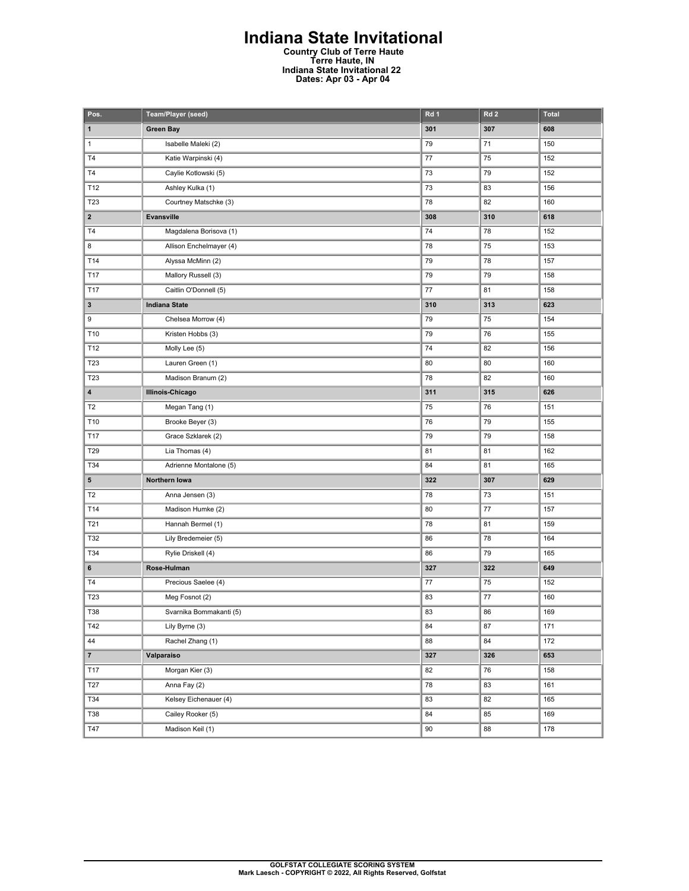## **Indiana State Invitational**

**Country Club of Terre Haute Terre Haute, IN Indiana State Invitational 22 Dates: Apr 03 - Apr 04** 

| Pos.                    | Team/Player (seed)      | Rd 1 | Rd <sub>2</sub> | <b>Total</b> |
|-------------------------|-------------------------|------|-----------------|--------------|
| 1                       | <b>Green Bay</b>        | 301  | 307             | 608          |
| $\mathbf{1}$            | Isabelle Maleki (2)     | 79   | 71              | 150          |
| T <sub>4</sub>          | Katie Warpinski (4)     | 77   | 75              | 152          |
| T <sub>4</sub>          | Caylie Kotlowski (5)    | 73   | 79              | 152          |
| T12                     | Ashley Kulka (1)        | 73   | 83              | 156          |
| T23                     | Courtney Matschke (3)   | 78   | 82              | 160          |
| $\overline{\mathbf{2}}$ | Evansville              | 308  | 310             | 618          |
| T4                      | Magdalena Borisova (1)  | 74   | 78              | 152          |
| 8                       | Allison Enchelmayer (4) | 78   | 75              | 153          |
| T14                     | Alyssa McMinn (2)       | 79   | 78              | 157          |
| T17                     | Mallory Russell (3)     | 79   | 79              | 158          |
| T17                     | Caitlin O'Donnell (5)   | 77   | 81              | 158          |
| 3                       | <b>Indiana State</b>    | 310  | 313             | 623          |
| 9                       | Chelsea Morrow (4)      | 79   | 75              | 154          |
| T10                     | Kristen Hobbs (3)       | 79   | 76              | 155          |
| T12                     | Molly Lee (5)           | 74   | 82              | 156          |
| T23                     | Lauren Green (1)        | 80   | 80              | 160          |
| T23                     | Madison Branum (2)      | 78   | 82              | 160          |
| 4                       | <b>Illinois-Chicago</b> | 311  | 315             | 626          |
| T <sub>2</sub>          | Megan Tang (1)          | 75   | 76              | 151          |
| T10                     | Brooke Beyer (3)        | 76   | 79              | 155          |
| T17                     | Grace Szklarek (2)      | 79   | 79              | 158          |
| T29                     | Lia Thomas (4)          | 81   | 81              | 162          |
| T34                     | Adrienne Montalone (5)  | 84   | 81              | 165          |
| 5                       | Northern Iowa           | 322  | 307             | 629          |
| T <sub>2</sub>          | Anna Jensen (3)         | 78   | 73              | 151          |
| T14                     | Madison Humke (2)       | 80   | 77              | 157          |
| T21                     | Hannah Bermel (1)       | 78   | 81              | 159          |
| T32                     | Lily Bredemeier (5)     | 86   | 78              | 164          |
| T34                     | Rylie Driskell (4)      | 86   | 79              | 165          |
| 6                       | Rose-Hulman             | 327  | 322             | 649          |
| <b>T4</b>               | Precious Saelee (4)     | 77   | 75              | 152          |
| T <sub>23</sub>         | Meg Fosnot (2)          | 83   | 77              | 160          |
| T38                     | Svarnika Bommakanti (5) | 83   | 86              | 169          |
| T42                     | Lily Byrne (3)          | 84   | 87              | 171          |
| 44                      | Rachel Zhang (1)        | 88   | 84              | 172          |
| $\overline{7}$          | Valparaiso              | 327  | 326             | 653          |
| T17                     | Morgan Kier (3)         | 82   | 76              | 158          |
| T27                     | Anna Fay (2)            | 78   | 83              | 161          |
| T34                     | Kelsey Eichenauer (4)   | 83   | 82              | 165          |
| <b>T38</b>              | Cailey Rooker (5)       | 84   | 85              | 169          |
| T47                     | Madison Keil (1)        | 90   | 88              | 178          |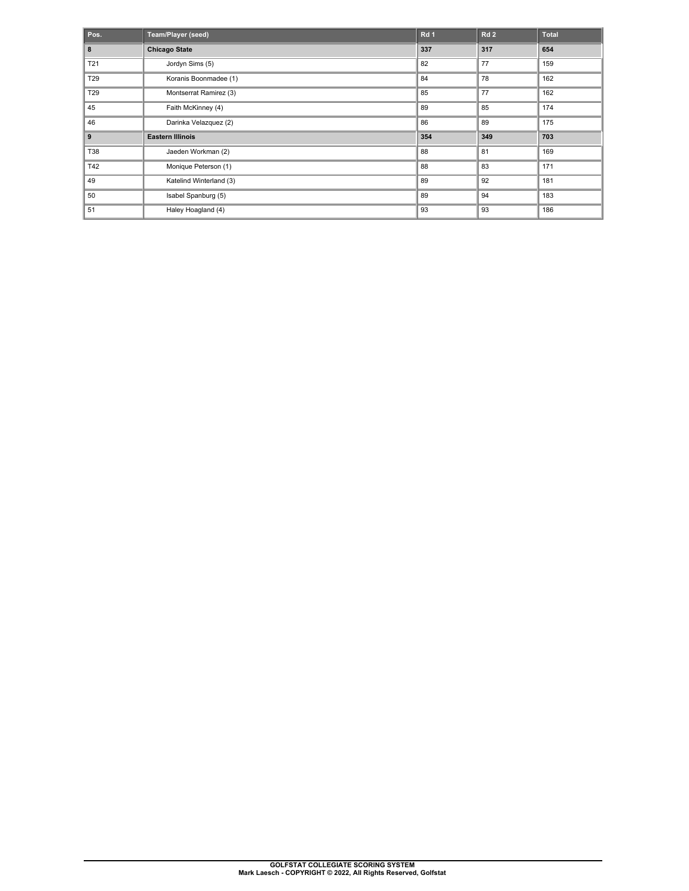| Pos.            | Team/Player (seed)      | Rd <sub>1</sub> | Rd2 | <b>Total</b> |
|-----------------|-------------------------|-----------------|-----|--------------|
| 8               | <b>Chicago State</b>    | 337             | 317 | 654          |
| T21             | Jordyn Sims (5)         | 82              | 77  | 159          |
| T <sub>29</sub> | Koranis Boonmadee (1)   | 84              | 78  | 162          |
| T <sub>29</sub> | Montserrat Ramirez (3)  | 85              | 77  | 162          |
| 45              | Faith McKinney (4)      | 89              | 85  | 174          |
| 46              | Darinka Velazquez (2)   | 86              | 89  | 175          |
| 9               | <b>Eastern Illinois</b> | 354             | 349 | 703          |
| T38             | Jaeden Workman (2)      | 88              | 81  | 169          |
| T42             | Monique Peterson (1)    | 88              | 83  | 171          |
| 49              | Katelind Winterland (3) | 89              | 92  | 181          |
| 50              | Isabel Spanburg (5)     | 89              | 94  | 183          |
| 51              | Haley Hoagland (4)      | 93              | 93  | 186          |